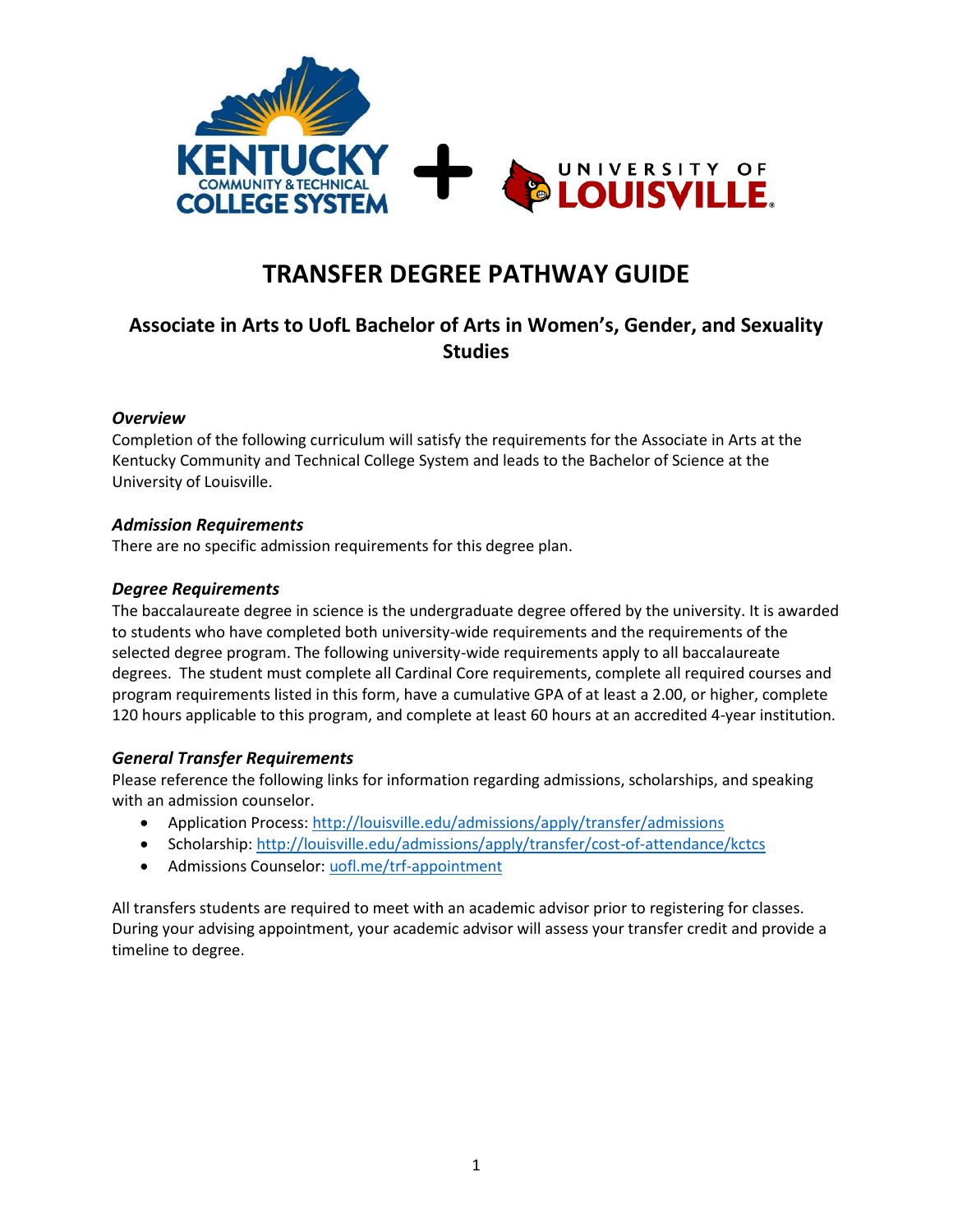

# **TRANSFER DEGREE PATHWAY GUIDE**

## **Associate in Arts to UofL Bachelor of Arts in Women's, Gender, and Sexuality Studies**

## *Overview*

Completion of the following curriculum will satisfy the requirements for the Associate in Arts at the Kentucky Community and Technical College System and leads to the Bachelor of Science at the University of Louisville.

## *Admission Requirements*

There are no specific admission requirements for this degree plan.

## *Degree Requirements*

The baccalaureate degree in science is the undergraduate degree offered by the university. It is awarded to students who have completed both university-wide requirements and the requirements of the selected degree program. The following university-wide requirements apply to all baccalaureate degrees. The student must complete all Cardinal Core requirements, complete all required courses and program requirements listed in this form, have a cumulative GPA of at least a 2.00, or higher, complete 120 hours applicable to this program, and complete at least 60 hours at an accredited 4-year institution.

## *General Transfer Requirements*

Please reference the following links for information regarding admissions, scholarships, and speaking with an admission counselor.

- Application Process: <http://louisville.edu/admissions/apply/transfer/admissions>
- Scholarship[: http://louisville.edu/admissions/apply/transfer/cost-of-attendance/kctcs](http://louisville.edu/admissions/apply/transfer/cost-of-attendance/kctcs)
- Admissions Counselor[: uofl.me/trf-appointment](http://uofl.me/trf-appointment)

All transfers students are required to meet with an academic advisor prior to registering for classes. During your advising appointment, your academic advisor will assess your transfer credit and provide a timeline to degree.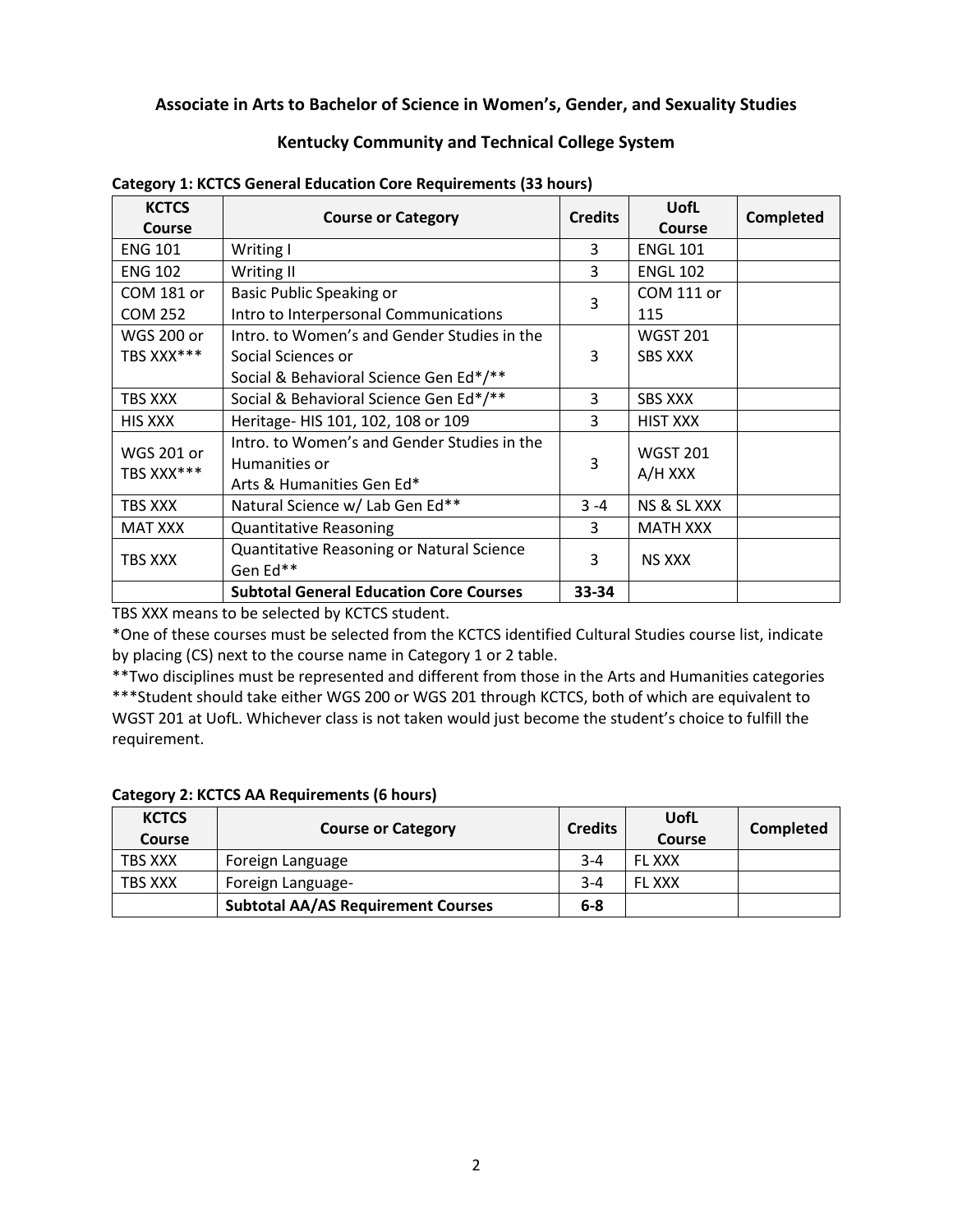## **Associate in Arts to Bachelor of Science in Women's, Gender, and Sexuality Studies**

## **Kentucky Community and Technical College System**

| <b>KCTCS</b><br><b>Course</b>   | <b>Course or Category</b>                                                                 | <b>Credits</b> | <b>UofL</b><br>Course      | <b>Completed</b> |
|---------------------------------|-------------------------------------------------------------------------------------------|----------------|----------------------------|------------------|
| <b>ENG 101</b>                  | Writing I                                                                                 | 3              | <b>ENGL 101</b>            |                  |
| <b>ENG 102</b>                  | Writing II                                                                                | 3              | <b>ENGL 102</b>            |                  |
| COM 181 or                      | <b>Basic Public Speaking or</b>                                                           | 3              | COM 111 or                 |                  |
| <b>COM 252</b>                  | Intro to Interpersonal Communications                                                     |                | 115                        |                  |
| <b>WGS 200 or</b>               | Intro. to Women's and Gender Studies in the                                               |                | <b>WGST 201</b>            |                  |
| TBS XXX***                      | Social Sciences or                                                                        | 3              | <b>SBS XXX</b>             |                  |
|                                 | Social & Behavioral Science Gen Ed*/**                                                    |                |                            |                  |
| TBS XXX                         | Social & Behavioral Science Gen Ed*/**                                                    | 3              | <b>SBS XXX</b>             |                  |
| <b>HIS XXX</b>                  | Heritage- HIS 101, 102, 108 or 109                                                        | 3              | <b>HIST XXX</b>            |                  |
| <b>WGS 201 or</b><br>TBS XXX*** | Intro. to Women's and Gender Studies in the<br>Humanities or<br>Arts & Humanities Gen Ed* | 3              | <b>WGST 201</b><br>A/H XXX |                  |
| TBS XXX                         | Natural Science w/ Lab Gen Ed**                                                           | $3 - 4$        | NS & SL XXX                |                  |
| <b>MAT XXX</b>                  | <b>Quantitative Reasoning</b>                                                             | 3              | <b>MATH XXX</b>            |                  |
| TBS XXX                         | Quantitative Reasoning or Natural Science<br>Gen Ed**                                     | 3              | <b>NS XXX</b>              |                  |
|                                 | <b>Subtotal General Education Core Courses</b>                                            | 33-34          |                            |                  |

#### **Category 1: KCTCS General Education Core Requirements (33 hours)**

TBS XXX means to be selected by KCTCS student.

\*One of these courses must be selected from the KCTCS identified Cultural Studies course list, indicate by placing (CS) next to the course name in Category 1 or 2 table.

\*\*Two disciplines must be represented and different from those in the Arts and Humanities categories \*\*\*Student should take either WGS 200 or WGS 201 through KCTCS, both of which are equivalent to WGST 201 at UofL. Whichever class is not taken would just become the student's choice to fulfill the requirement.

## **Category 2: KCTCS AA Requirements (6 hours)**

| <b>KCTCS</b><br>Course | <b>Course or Category</b>                 | <b>Credits</b> | UofL<br>Course | Completed |
|------------------------|-------------------------------------------|----------------|----------------|-----------|
| TBS XXX                | Foreign Language                          | $3 - 4$        | <b>FL XXX</b>  |           |
| TBS XXX                | Foreign Language-                         | $3 - 4$        | <b>FL XXX</b>  |           |
|                        | <b>Subtotal AA/AS Requirement Courses</b> | $6-8$          |                |           |